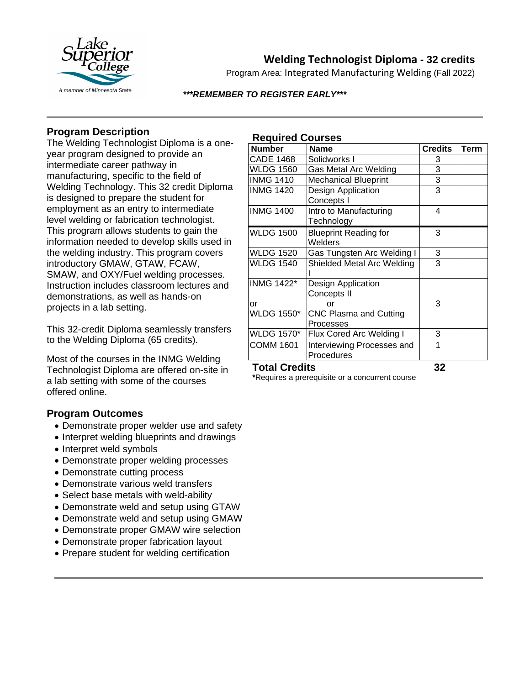

# **Welding Technologist Diploma - 32 credits**

Program Area: Integrated Manufacturing Welding (Fall 2022)

#### *\*\*\*REMEMBER TO REGISTER EARLY\*\*\**

## **Program Description**

The Welding Technologist Diploma is a oneyear program designed to provide an intermediate career pathway in manufacturing, specific to the field of Welding Technology. This 32 credit Diploma is designed to prepare the student for employment as an entry to intermediate level welding or fabrication technologist. This program allows students to gain the information needed to develop skills used in the welding industry. This program covers introductory GMAW, GTAW, FCAW, SMAW, and OXY/Fuel welding processes. Instruction includes classroom lectures and demonstrations, as well as hands-on projects in a lab setting.

This 32-credit Diploma seamlessly transfers to the Welding Diploma (65 credits).

Most of the courses in the INMG Welding Technologist Diploma are offered on-site in a lab setting with some of the courses offered online.

### **Program Outcomes**

- Demonstrate proper welder use and safety
- Interpret welding blueprints and drawings
- Interpret weld symbols
- Demonstrate proper welding processes
- Demonstrate cutting process
- Demonstrate various weld transfers
- Select base metals with weld-ability
- Demonstrate weld and setup using GTAW
- Demonstrate weld and setup using GMAW
- Demonstrate proper GMAW wire selection
- Demonstrate proper fabrication layout
- Prepare student for welding certification

| <b>Required Courses</b> |  |
|-------------------------|--|
|-------------------------|--|

| <b>Number</b>           | <b>Name</b>                              | <b>Credits</b> | Term |
|-------------------------|------------------------------------------|----------------|------|
| <b>CADE 1468</b>        | Solidworks I                             | 3              |      |
| <b>WLDG 1560</b>        | Gas Metal Arc Welding                    | 3              |      |
| <b>INMG 1410</b>        | <b>Mechanical Blueprint</b>              | 3              |      |
| <b>INMG 1420</b>        | Design Application<br>Concepts I         | 3              |      |
| <b>INMG 1400</b>        | Intro to Manufacturing<br>Technology     | 4              |      |
| <b>WLDG 1500</b>        | <b>Blueprint Reading for</b><br>Welders  | 3              |      |
| <b>WLDG 1520</b>        | Gas Tungsten Arc Welding I               | 3              |      |
| <b>WLDG 1540</b>        | Shielded Metal Arc Welding               | 3              |      |
| <b>INMG 1422*</b><br>or | Design Application<br>Concepts II<br>or  | 3              |      |
| <b>WLDG 1550*</b>       | CNC Plasma and Cutting<br>Processes      |                |      |
| <b>WLDG 1570*</b>       | Flux Cored Arc Welding I                 | 3              |      |
| <b>COMM 1601</b>        | Interviewing Processes and<br>Procedures | 1              |      |

#### **Total Credits 32**

**\***Requires a prerequisite or a concurrent course